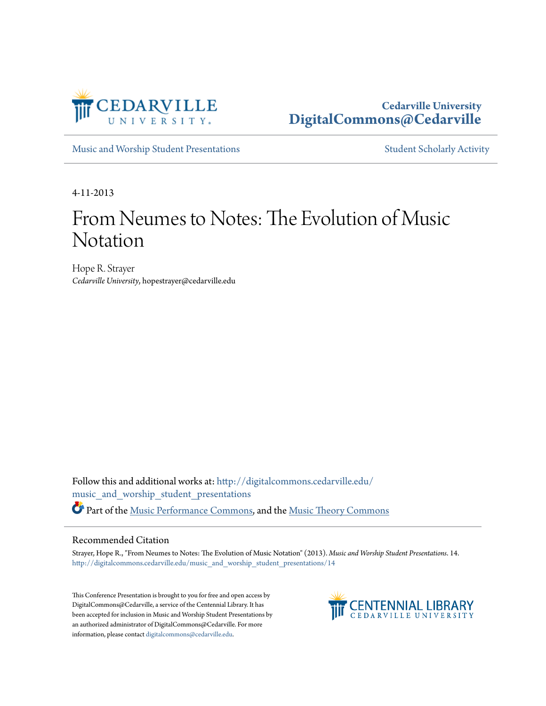

## **Cedarville University [DigitalCommons@Cedarville](http://digitalcommons.cedarville.edu?utm_source=digitalcommons.cedarville.edu%2Fmusic_and_worship_student_presentations%2F14&utm_medium=PDF&utm_campaign=PDFCoverPages)**

[Music and Worship Student Presentations](http://digitalcommons.cedarville.edu/music_and_worship_student_presentations?utm_source=digitalcommons.cedarville.edu%2Fmusic_and_worship_student_presentations%2F14&utm_medium=PDF&utm_campaign=PDFCoverPages) [Student Scholarly Activity](http://digitalcommons.cedarville.edu/music_student_scholarly_activity?utm_source=digitalcommons.cedarville.edu%2Fmusic_and_worship_student_presentations%2F14&utm_medium=PDF&utm_campaign=PDFCoverPages)

4-11-2013

# From Neumes to Notes: The Evolution of Music Notation

Hope R. Strayer *Cedarville University*, hopestrayer@cedarville.edu

Follow this and additional works at: [http://digitalcommons.cedarville.edu/](http://digitalcommons.cedarville.edu/music_and_worship_student_presentations?utm_source=digitalcommons.cedarville.edu%2Fmusic_and_worship_student_presentations%2F14&utm_medium=PDF&utm_campaign=PDFCoverPages) [music\\_and\\_worship\\_student\\_presentations](http://digitalcommons.cedarville.edu/music_and_worship_student_presentations?utm_source=digitalcommons.cedarville.edu%2Fmusic_and_worship_student_presentations%2F14&utm_medium=PDF&utm_campaign=PDFCoverPages) Part of the [Music Performance Commons](http://network.bepress.com/hgg/discipline/1128?utm_source=digitalcommons.cedarville.edu%2Fmusic_and_worship_student_presentations%2F14&utm_medium=PDF&utm_campaign=PDFCoverPages), and the [Music Theory Commons](http://network.bepress.com/hgg/discipline/522?utm_source=digitalcommons.cedarville.edu%2Fmusic_and_worship_student_presentations%2F14&utm_medium=PDF&utm_campaign=PDFCoverPages)

#### Recommended Citation

Strayer, Hope R., "From Neumes to Notes: The Evolution of Music Notation" (2013). *Music and Worship Student Presentations*. 14. [http://digitalcommons.cedarville.edu/music\\_and\\_worship\\_student\\_presentations/14](http://digitalcommons.cedarville.edu/music_and_worship_student_presentations/14?utm_source=digitalcommons.cedarville.edu%2Fmusic_and_worship_student_presentations%2F14&utm_medium=PDF&utm_campaign=PDFCoverPages)

This Conference Presentation is brought to you for free and open access by DigitalCommons@Cedarville, a service of the Centennial Library. It has been accepted for inclusion in Music and Worship Student Presentations by an authorized administrator of DigitalCommons@Cedarville. For more information, please contact [digitalcommons@cedarville.edu.](mailto:digitalcommons@cedarville.edu)

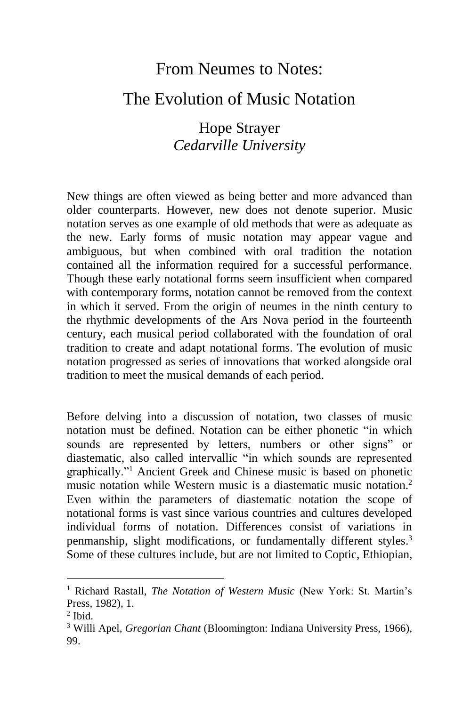### From Neumes to Notes:

#### The Evolution of Music Notation

Hope Strayer *Cedarville University*

New things are often viewed as being better and more advanced than older counterparts. However, new does not denote superior. Music notation serves as one example of old methods that were as adequate as the new. Early forms of music notation may appear vague and ambiguous, but when combined with oral tradition the notation contained all the information required for a successful performance. Though these early notational forms seem insufficient when compared with contemporary forms, notation cannot be removed from the context in which it served. From the origin of neumes in the ninth century to the rhythmic developments of the Ars Nova period in the fourteenth century, each musical period collaborated with the foundation of oral tradition to create and adapt notational forms. The evolution of music notation progressed as series of innovations that worked alongside oral tradition to meet the musical demands of each period.

Before delving into a discussion of notation, two classes of music notation must be defined. Notation can be either phonetic "in which sounds are represented by letters, numbers or other signs" or diastematic, also called intervallic "in which sounds are represented graphically."<sup>1</sup> Ancient Greek and Chinese music is based on phonetic music notation while Western music is a diastematic music notation.<sup>2</sup> Even within the parameters of diastematic notation the scope of notational forms is vast since various countries and cultures developed individual forms of notation. Differences consist of variations in penmanship, slight modifications, or fundamentally different styles.<sup>3</sup> Some of these cultures include, but are not limited to Coptic, Ethiopian,

 $\overline{a}$ 

<sup>1</sup> Richard Rastall, *The Notation of Western Music* (New York: St. Martin's Press, 1982), 1.

<sup>2</sup> Ibid.

<sup>3</sup> Willi Apel, *Gregorian Chant* (Bloomington: Indiana University Press, 1966), 99.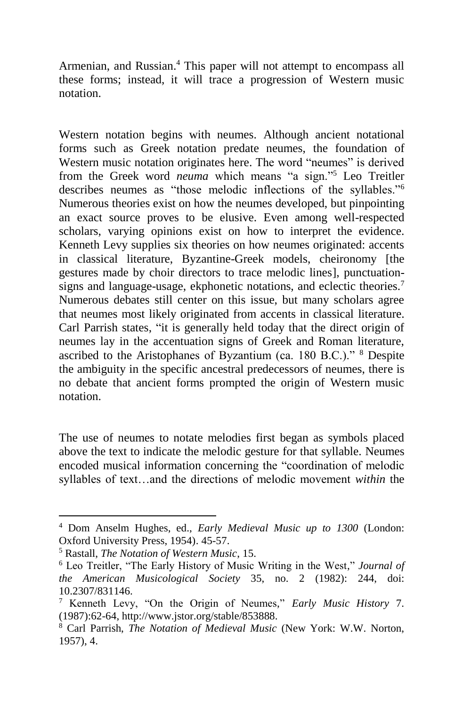Armenian, and Russian. <sup>4</sup> This paper will not attempt to encompass all these forms; instead, it will trace a progression of Western music notation.

Western notation begins with neumes. Although ancient notational forms such as Greek notation predate neumes, the foundation of Western music notation originates here. The word "neumes" is derived from the Greek word *neuma* which means "a sign."<sup>5</sup> Leo Treitler describes neumes as "those melodic inflections of the syllables."<sup>6</sup> Numerous theories exist on how the neumes developed, but pinpointing an exact source proves to be elusive. Even among well-respected scholars, varying opinions exist on how to interpret the evidence. Kenneth Levy supplies six theories on how neumes originated: accents in classical literature, Byzantine-Greek models, cheironomy [the gestures made by choir directors to trace melodic lines], punctuationsigns and language-usage, ekphonetic notations, and eclectic theories.<sup>7</sup> Numerous debates still center on this issue, but many scholars agree that neumes most likely originated from accents in classical literature. Carl Parrish states, "it is generally held today that the direct origin of neumes lay in the accentuation signs of Greek and Roman literature, ascribed to the Aristophanes of Byzantium (ca. 180 B.C.)." <sup>8</sup> Despite the ambiguity in the specific ancestral predecessors of neumes, there is no debate that ancient forms prompted the origin of Western music notation.

The use of neumes to notate melodies first began as symbols placed above the text to indicate the melodic gesture for that syllable. Neumes encoded musical information concerning the "coordination of melodic syllables of text…and the directions of melodic movement *within* the

<sup>4</sup> Dom Anselm Hughes, ed., *Early Medieval Music up to 1300* (London: Oxford University Press, 1954). 45-57.

<sup>5</sup> Rastall, *The Notation of Western Music*, 15.

<sup>6</sup> Leo Treitler, "The Early History of Music Writing in the West," *Journal of the American Musicological Society* 35, no. 2 (1982): 244, doi: 10.2307/831146.

<sup>7</sup> Kenneth Levy, "On the Origin of Neumes," *Early Music History* 7. (1987):62-64, http://www.jstor.org/stable/853888.

<sup>8</sup> Carl Parrish, *The Notation of Medieval Music* (New York: W.W. Norton, 1957), 4.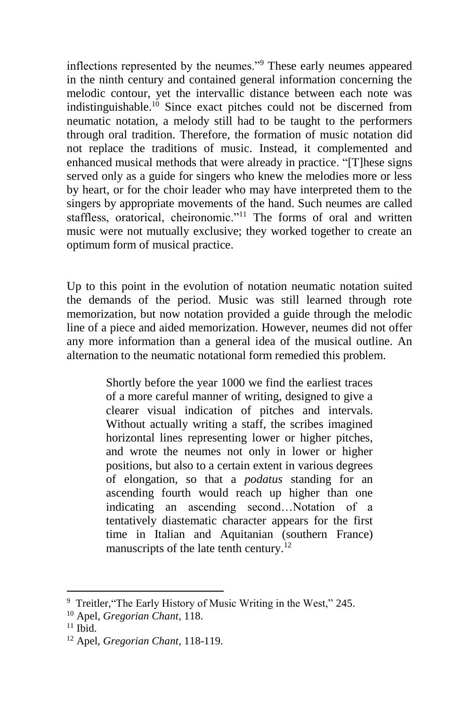inflections represented by the neumes."<sup>9</sup> These early neumes appeared in the ninth century and contained general information concerning the melodic contour, yet the intervallic distance between each note was indistinguishable.<sup>10</sup> Since exact pitches could not be discerned from neumatic notation, a melody still had to be taught to the performers through oral tradition. Therefore, the formation of music notation did not replace the traditions of music. Instead, it complemented and enhanced musical methods that were already in practice. "[T]hese signs served only as a guide for singers who knew the melodies more or less by heart, or for the choir leader who may have interpreted them to the singers by appropriate movements of the hand. Such neumes are called staffless, oratorical, cheironomic."<sup>11</sup> The forms of oral and written music were not mutually exclusive; they worked together to create an optimum form of musical practice.

Up to this point in the evolution of notation neumatic notation suited the demands of the period. Music was still learned through rote memorization, but now notation provided a guide through the melodic line of a piece and aided memorization. However, neumes did not offer any more information than a general idea of the musical outline. An alternation to the neumatic notational form remedied this problem.

> Shortly before the year 1000 we find the earliest traces of a more careful manner of writing, designed to give a clearer visual indication of pitches and intervals. Without actually writing a staff, the scribes imagined horizontal lines representing lower or higher pitches, and wrote the neumes not only in lower or higher positions, but also to a certain extent in various degrees of elongation, so that a *podatus* standing for an ascending fourth would reach up higher than one indicating an ascending second…Notation of a tentatively diastematic character appears for the first time in Italian and Aquitanian (southern France) manuscripts of the late tenth century.<sup>12</sup>

<sup>&</sup>lt;sup>9</sup> Treitler, "The Early History of Music Writing in the West," 245.

<sup>10</sup> Apel, *Gregorian Chant,* 118.

 $11$  Ibid.

<sup>12</sup> Apel, *Gregorian Chant,* 118-119.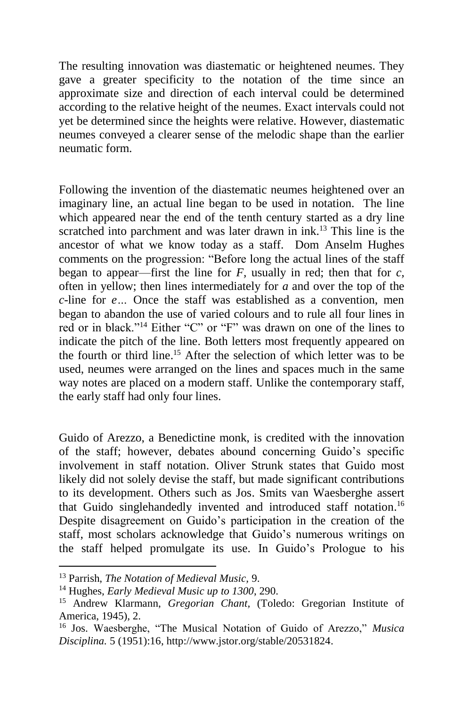The resulting innovation was diastematic or heightened neumes. They gave a greater specificity to the notation of the time since an approximate size and direction of each interval could be determined according to the relative height of the neumes. Exact intervals could not yet be determined since the heights were relative. However, diastematic neumes conveyed a clearer sense of the melodic shape than the earlier neumatic form.

Following the invention of the diastematic neumes heightened over an imaginary line, an actual line began to be used in notation. The line which appeared near the end of the tenth century started as a dry line scratched into parchment and was later drawn in ink.<sup>13</sup> This line is the ancestor of what we know today as a staff. Dom Anselm Hughes comments on the progression: "Before long the actual lines of the staff began to appear—first the line for  $F$ , usually in red; then that for  $c$ , often in yellow; then lines intermediately for *a* and over the top of the *c*-line for *e…* Once the staff was established as a convention, men began to abandon the use of varied colours and to rule all four lines in red or in black."<sup>14</sup> Either "C" or "F" was drawn on one of the lines to indicate the pitch of the line. Both letters most frequently appeared on the fourth or third line. <sup>15</sup> After the selection of which letter was to be used, neumes were arranged on the lines and spaces much in the same way notes are placed on a modern staff. Unlike the contemporary staff, the early staff had only four lines.

Guido of Arezzo, a Benedictine monk, is credited with the innovation of the staff; however, debates abound concerning Guido's specific involvement in staff notation. Oliver Strunk states that Guido most likely did not solely devise the staff, but made significant contributions to its development. Others such as Jos. Smits van Waesberghe assert that Guido singlehandedly invented and introduced staff notation.<sup>16</sup> Despite disagreement on Guido's participation in the creation of the staff, most scholars acknowledge that Guido's numerous writings on the staff helped promulgate its use. In Guido's Prologue to his

l

<sup>13</sup> Parrish, *The Notation of Medieval Music,* 9.

<sup>14</sup> Hughes, *Early Medieval Music up to 1300*, 290.

<sup>15</sup> Andrew Klarmann, *Gregorian Chant,* (Toledo: Gregorian Institute of America, 1945), 2.

<sup>16</sup> Jos. Waesberghe, "The Musical Notation of Guido of Arezzo," *Musica Disciplina.* 5 (1951):16, http://www.jstor.org/stable/20531824.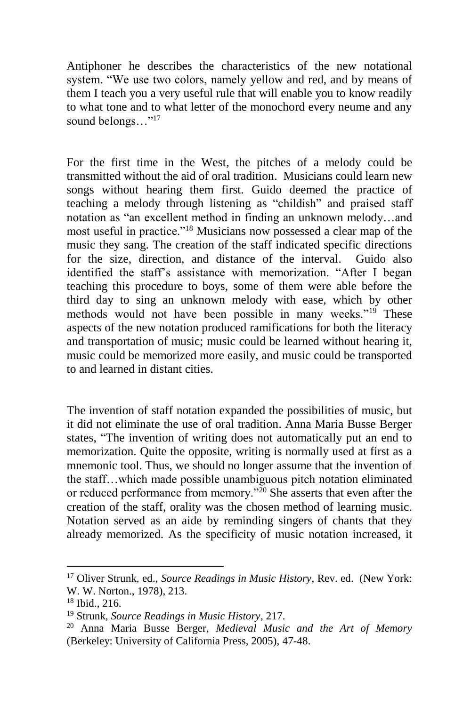Antiphoner he describes the characteristics of the new notational system. "We use two colors, namely yellow and red, and by means of them I teach you a very useful rule that will enable you to know readily to what tone and to what letter of the monochord every neume and any sound belongs..."<sup>17</sup>

For the first time in the West, the pitches of a melody could be transmitted without the aid of oral tradition. Musicians could learn new songs without hearing them first. Guido deemed the practice of teaching a melody through listening as "childish" and praised staff notation as "an excellent method in finding an unknown melody…and most useful in practice."<sup>18</sup> Musicians now possessed a clear map of the music they sang. The creation of the staff indicated specific directions for the size, direction, and distance of the interval. Guido also identified the staff's assistance with memorization. "After I began teaching this procedure to boys, some of them were able before the third day to sing an unknown melody with ease, which by other methods would not have been possible in many weeks."<sup>19</sup> These aspects of the new notation produced ramifications for both the literacy and transportation of music; music could be learned without hearing it, music could be memorized more easily, and music could be transported to and learned in distant cities.

The invention of staff notation expanded the possibilities of music, but it did not eliminate the use of oral tradition. Anna Maria Busse Berger states, "The invention of writing does not automatically put an end to memorization. Quite the opposite, writing is normally used at first as a mnemonic tool. Thus, we should no longer assume that the invention of the staff…which made possible unambiguous pitch notation eliminated or reduced performance from memory."<sup>20</sup> She asserts that even after the creation of the staff, orality was the chosen method of learning music. Notation served as an aide by reminding singers of chants that they already memorized. As the specificity of music notation increased, it

l

<sup>17</sup> Oliver Strunk, ed., *Source Readings in Music History*, Rev. ed. (New York: W. W. Norton., 1978), 213.

<sup>18</sup> Ibid., 216.

<sup>19</sup> Strunk, *Source Readings in Music History*, 217.

<sup>20</sup> Anna Maria Busse Berger, *Medieval Music and the Art of Memory* (Berkeley: University of California Press, 2005), 47-48.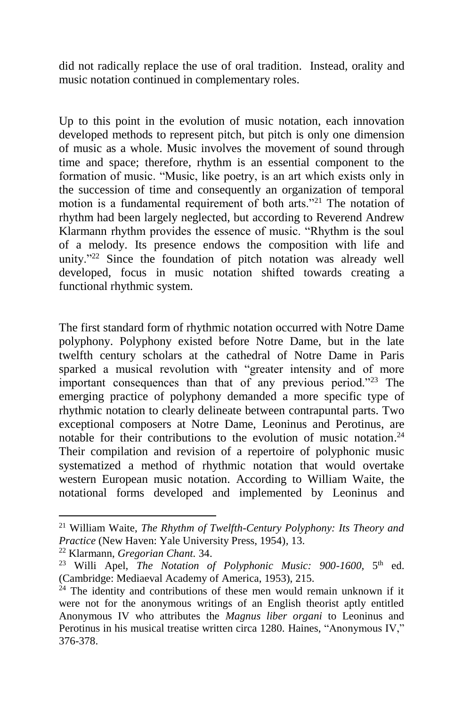did not radically replace the use of oral tradition. Instead, orality and music notation continued in complementary roles.

Up to this point in the evolution of music notation, each innovation developed methods to represent pitch, but pitch is only one dimension of music as a whole. Music involves the movement of sound through time and space; therefore, rhythm is an essential component to the formation of music. "Music, like poetry, is an art which exists only in the succession of time and consequently an organization of temporal motion is a fundamental requirement of both arts."<sup>21</sup> The notation of rhythm had been largely neglected, but according to Reverend Andrew Klarmann rhythm provides the essence of music. "Rhythm is the soul of a melody. Its presence endows the composition with life and unity."<sup>22</sup> Since the foundation of pitch notation was already well developed, focus in music notation shifted towards creating a functional rhythmic system.

The first standard form of rhythmic notation occurred with Notre Dame polyphony. Polyphony existed before Notre Dame, but in the late twelfth century scholars at the cathedral of Notre Dame in Paris sparked a musical revolution with "greater intensity and of more important consequences than that of any previous period."<sup>23</sup> The emerging practice of polyphony demanded a more specific type of rhythmic notation to clearly delineate between contrapuntal parts. Two exceptional composers at Notre Dame, Leoninus and Perotinus, are notable for their contributions to the evolution of music notation. 24 Their compilation and revision of a repertoire of polyphonic music systematized a method of rhythmic notation that would overtake western European music notation. According to William Waite, the notational forms developed and implemented by Leoninus and

<sup>21</sup> William Waite, *The Rhythm of Twelfth-Century Polyphony: Its Theory and Practice* (New Haven: Yale University Press, 1954)*,* 13.

<sup>22</sup> Klarmann, *Gregorian Chant.* 34.

<sup>&</sup>lt;sup>23</sup> Willi Apel, *The Notation of Polyphonic Music: 900-1600*, 5<sup>th</sup> ed. (Cambridge: Mediaeval Academy of America, 1953), 215.

 $24$  The identity and contributions of these men would remain unknown if it were not for the anonymous writings of an English theorist aptly entitled Anonymous IV who attributes the *Magnus liber organi* to Leoninus and Perotinus in his musical treatise written circa 1280. Haines, "Anonymous IV," 376-378.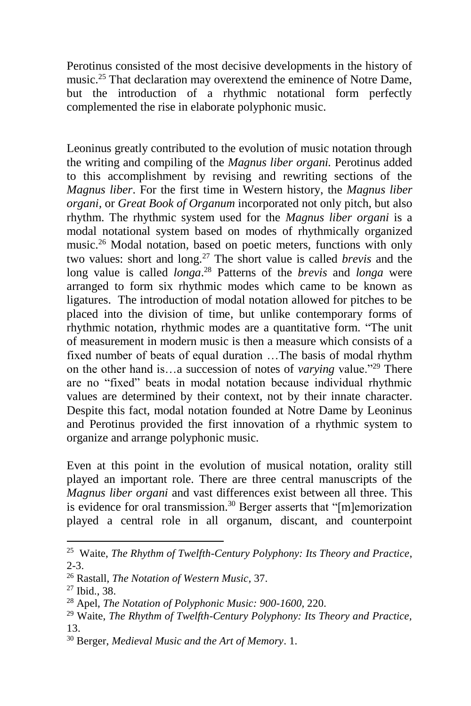Perotinus consisted of the most decisive developments in the history of music.<sup>25</sup> That declaration may overextend the eminence of Notre Dame. but the introduction of a rhythmic notational form perfectly complemented the rise in elaborate polyphonic music.

Leoninus greatly contributed to the evolution of music notation through the writing and compiling of the *Magnus liber organi.* Perotinus added to this accomplishment by revising and rewriting sections of the *Magnus liber*. For the first time in Western history, the *Magnus liber organi,* or *Great Book of Organum* incorporated not only pitch, but also rhythm. The rhythmic system used for the *Magnus liber organi* is a modal notational system based on modes of rhythmically organized music.<sup>26</sup> Modal notation, based on poetic meters, functions with only two values: short and long.<sup>27</sup> The short value is called *brevis* and the long value is called *longa*. <sup>28</sup> Patterns of the *brevis* and *longa* were arranged to form six rhythmic modes which came to be known as ligatures. The introduction of modal notation allowed for pitches to be placed into the division of time, but unlike contemporary forms of rhythmic notation, rhythmic modes are a quantitative form. "The unit of measurement in modern music is then a measure which consists of a fixed number of beats of equal duration …The basis of modal rhythm on the other hand is…a succession of notes of *varying* value."<sup>29</sup> There are no "fixed" beats in modal notation because individual rhythmic values are determined by their context, not by their innate character. Despite this fact, modal notation founded at Notre Dame by Leoninus and Perotinus provided the first innovation of a rhythmic system to organize and arrange polyphonic music.

Even at this point in the evolution of musical notation, orality still played an important role. There are three central manuscripts of the *Magnus liber organi* and vast differences exist between all three. This is evidence for oral transmission.<sup>30</sup> Berger asserts that "[m]emorization played a central role in all organum, discant, and counterpoint

 $\overline{a}$ 

<sup>25</sup> Waite, *The Rhythm of Twelfth-Century Polyphony: Its Theory and Practice*, 2-3.

<sup>26</sup> Rastall, *The Notation of Western Music,* 37.

<sup>27</sup> Ibid., 38.

<sup>28</sup> Apel, *The Notation of Polyphonic Music: 900-1600,* 220.

<sup>29</sup> Waite, *The Rhythm of Twelfth-Century Polyphony: Its Theory and Practice,* 13.

<sup>30</sup> Berger, *Medieval Music and the Art of Memory*. 1.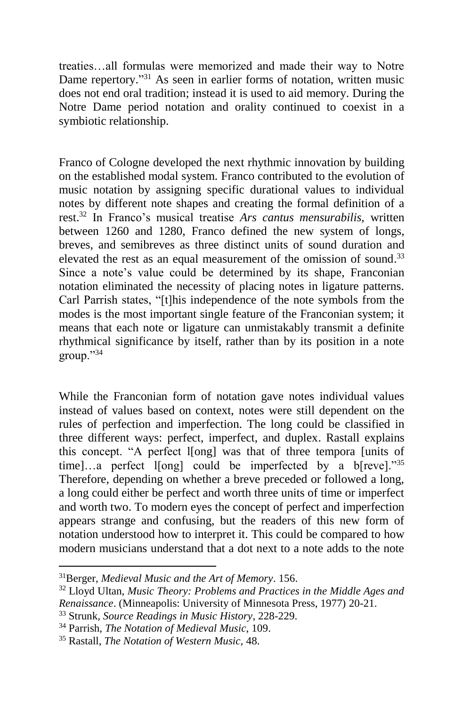treaties…all formulas were memorized and made their way to Notre Dame repertory."<sup>31</sup> As seen in earlier forms of notation, written music does not end oral tradition; instead it is used to aid memory. During the Notre Dame period notation and orality continued to coexist in a symbiotic relationship.

Franco of Cologne developed the next rhythmic innovation by building on the established modal system. Franco contributed to the evolution of music notation by assigning specific durational values to individual notes by different note shapes and creating the formal definition of a rest. <sup>32</sup> In Franco's musical treatise *Ars cantus mensurabilis,* written between 1260 and 1280, Franco defined the new system of longs, breves, and semibreves as three distinct units of sound duration and elevated the rest as an equal measurement of the omission of sound.<sup>33</sup> Since a note's value could be determined by its shape, Franconian notation eliminated the necessity of placing notes in ligature patterns. Carl Parrish states, "[t]his independence of the note symbols from the modes is the most important single feature of the Franconian system; it means that each note or ligature can unmistakably transmit a definite rhythmical significance by itself, rather than by its position in a note group."<sup>34</sup>

While the Franconian form of notation gave notes individual values instead of values based on context, notes were still dependent on the rules of perfection and imperfection. The long could be classified in three different ways: perfect, imperfect, and duplex. Rastall explains this concept. "A perfect l[ong] was that of three tempora [units of time]…a perfect l[ong] could be imperfected by a b[reve]."35 Therefore, depending on whether a breve preceded or followed a long, a long could either be perfect and worth three units of time or imperfect and worth two. To modern eyes the concept of perfect and imperfection appears strange and confusing, but the readers of this new form of notation understood how to interpret it. This could be compared to how modern musicians understand that a dot next to a note adds to the note

l

<sup>31</sup>Berger, *Medieval Music and the Art of Memory*. 156.

<sup>32</sup> Lloyd Ultan, *Music Theory: Problems and Practices in the Middle Ages and Renaissance*. (Minneapolis: University of Minnesota Press, 1977) 20-21.

<sup>33</sup> Strunk, *Source Readings in Music History*, 228-229.

<sup>34</sup> Parrish, *The Notation of Medieval Music*, 109.

<sup>35</sup> Rastall, *The Notation of Western Music,* 48.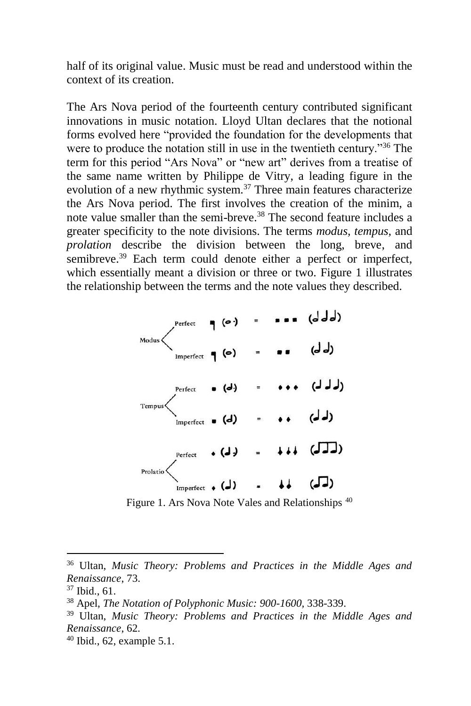half of its original value. Music must be read and understood within the context of its creation.

The Ars Nova period of the fourteenth century contributed significant innovations in music notation. Lloyd Ultan declares that the notional forms evolved here "provided the foundation for the developments that were to produce the notation still in use in the twentieth century.<sup>36</sup> The term for this period "Ars Nova" or "new art" derives from a treatise of the same name written by Philippe de Vitry, a leading figure in the evolution of a new rhythmic system.<sup>37</sup> Three main features characterize the Ars Nova period. The first involves the creation of the minim, a note value smaller than the semi-breve. <sup>38</sup> The second feature includes a greater specificity to the note divisions. The terms *modus, tempus,* and *prolation* describe the division between the long, breve, and semibreve.<sup>39</sup> Each term could denote either a perfect or imperfect, which essentially meant a division or three or two. Figure 1 illustrates the relationship between the terms and the note values they described.

| Modus    | Perfect                        | $(\bullet)$   | $\equiv$       | (ddd)    |
|----------|--------------------------------|---------------|----------------|----------|
|          | Imperfect $\bigcap$ $\bigcirc$ |               | $\equiv$       | (له لم)  |
| Tempus   | Perfect                        | . (d)         | $=$            | (ل ل ل)  |
|          | Imperfect $\bullet$ (d)        |               | $\blacksquare$ | (له لم)  |
| Prolatio | Perfect                        | $\bullet$ (J) | $=$            | $+11(1)$ |
|          | Imperfect $\bullet$ (J)        |               |                |          |

Figure 1. Ars Nova Note Vales and Relationships <sup>40</sup>

 $\overline{\phantom{a}}$ 

 $40$  Ibid., 62, example 5.1.

<sup>36</sup> Ultan, *Music Theory: Problems and Practices in the Middle Ages and Renaissance*, 73.

<sup>37</sup> Ibid., 61.

<sup>38</sup> Apel, *The Notation of Polyphonic Music: 900-1600,* 338-339.

<sup>39</sup> Ultan, *Music Theory: Problems and Practices in the Middle Ages and Renaissance*, 62.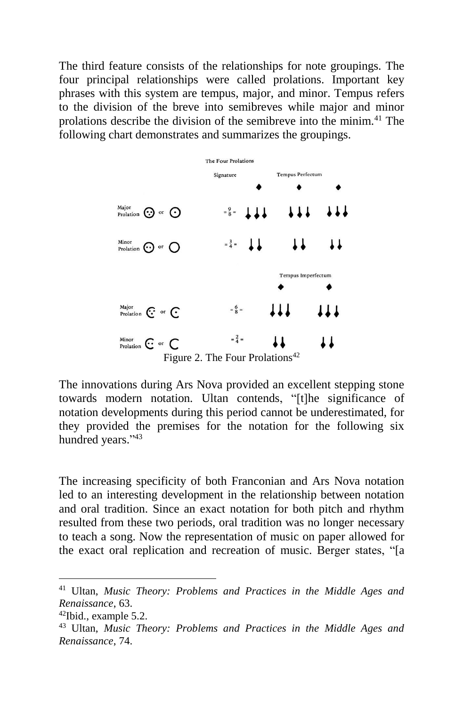The third feature consists of the relationships for note groupings. The four principal relationships were called prolations. Important key phrases with this system are tempus, major, and minor. Tempus refers to the division of the breve into semibreves while major and minor prolations describe the division of the semibreve into the minim.<sup>41</sup> The following chart demonstrates and summarizes the groupings.



Figure 2. The Four Prolations<sup>42</sup>

The innovations during Ars Nova provided an excellent stepping stone towards modern notation. Ultan contends, "[t]he significance of notation developments during this period cannot be underestimated, for they provided the premises for the notation for the following six hundred years."43

The increasing specificity of both Franconian and Ars Nova notation led to an interesting development in the relationship between notation and oral tradition. Since an exact notation for both pitch and rhythm resulted from these two periods, oral tradition was no longer necessary to teach a song. Now the representation of music on paper allowed for the exact oral replication and recreation of music. Berger states, "[a

 $\overline{a}$ 

<sup>41</sup> Ultan, *Music Theory: Problems and Practices in the Middle Ages and Renaissance*, 63.

 $42$ Ibid., example 5.2.

<sup>43</sup> Ultan, *Music Theory: Problems and Practices in the Middle Ages and Renaissance*, 74.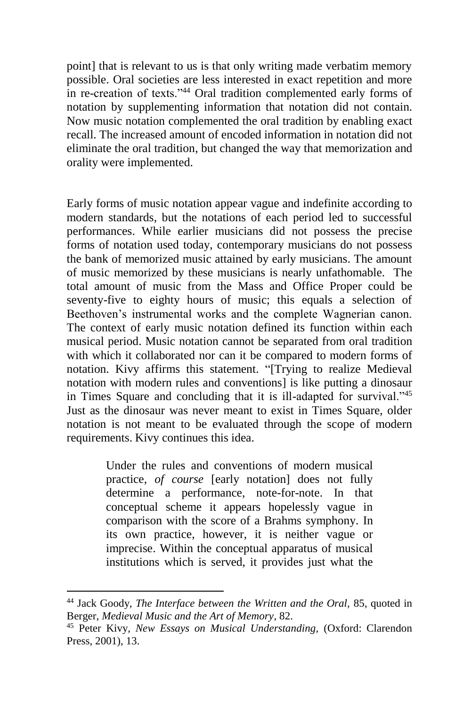point] that is relevant to us is that only writing made verbatim memory possible. Oral societies are less interested in exact repetition and more in re-creation of texts."<sup>44</sup> Oral tradition complemented early forms of notation by supplementing information that notation did not contain. Now music notation complemented the oral tradition by enabling exact recall. The increased amount of encoded information in notation did not eliminate the oral tradition, but changed the way that memorization and orality were implemented.

Early forms of music notation appear vague and indefinite according to modern standards, but the notations of each period led to successful performances. While earlier musicians did not possess the precise forms of notation used today, contemporary musicians do not possess the bank of memorized music attained by early musicians. The amount of music memorized by these musicians is nearly unfathomable. The total amount of music from the Mass and Office Proper could be seventy-five to eighty hours of music; this equals a selection of Beethoven's instrumental works and the complete Wagnerian canon. The context of early music notation defined its function within each musical period. Music notation cannot be separated from oral tradition with which it collaborated nor can it be compared to modern forms of notation. Kivy affirms this statement. "[Trying to realize Medieval notation with modern rules and conventions] is like putting a dinosaur in Times Square and concluding that it is ill-adapted for survival."<sup>45</sup> Just as the dinosaur was never meant to exist in Times Square, older notation is not meant to be evaluated through the scope of modern requirements. Kivy continues this idea.

> Under the rules and conventions of modern musical practice, *of course* [early notation] does not fully determine a performance, note-for-note. In that conceptual scheme it appears hopelessly vague in comparison with the score of a Brahms symphony. In its own practice, however, it is neither vague or imprecise. Within the conceptual apparatus of musical institutions which is served, it provides just what the

<sup>44</sup> Jack Goody, *The Interface between the Written and the Oral,* 85, quoted in Berger, *Medieval Music and the Art of Memory*, 82.

<sup>45</sup> Peter Kivy, *New Essays on Musical Understanding,* (Oxford: Clarendon Press, 2001), 13.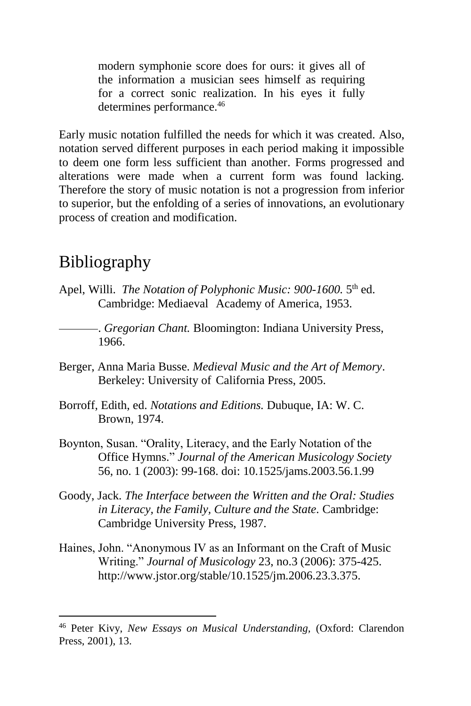modern symphonie score does for ours: it gives all of the information a musician sees himself as requiring for a correct sonic realization. In his eyes it fully determines performance.<sup>46</sup>

Early music notation fulfilled the needs for which it was created. Also, notation served different purposes in each period making it impossible to deem one form less sufficient than another. Forms progressed and alterations were made when a current form was found lacking. Therefore the story of music notation is not a progression from inferior to superior, but the enfolding of a series of innovations, an evolutionary process of creation and modification.

# Bibliography

- Apel, Willi. *The Notation of Polyphonic Music: 900-1600*. 5<sup>th</sup> ed. Cambridge: Mediaeval Academy of America, 1953.
	- . *Gregorian Chant.* Bloomington: Indiana University Press, 1966.
- Berger, Anna Maria Busse. *Medieval Music and the Art of Memory*. Berkeley: University of California Press, 2005.
- Borroff, Edith, ed. *Notations and Editions.* Dubuque, IA: W. C. Brown, 1974.
- Boynton, Susan. "Orality, Literacy, and the Early Notation of the Office Hymns." *Journal of the American Musicology Society*  56, no. 1 (2003): 99-168. doi: 10.1525/jams.2003.56.1.99
- Goody, Jack. *The Interface between the Written and the Oral: Studies in Literacy, the Family, Culture and the State.* Cambridge: Cambridge University Press, 1987.
- Haines, John. "Anonymous IV as an Informant on the Craft of Music Writing." *Journal of Musicology* 23, no.3 (2006): 375-425. http://www.jstor.org/stable/10.1525/jm.2006.23.3.375.

<sup>46</sup> Peter Kivy, *New Essays on Musical Understanding,* (Oxford: Clarendon Press, 2001), 13.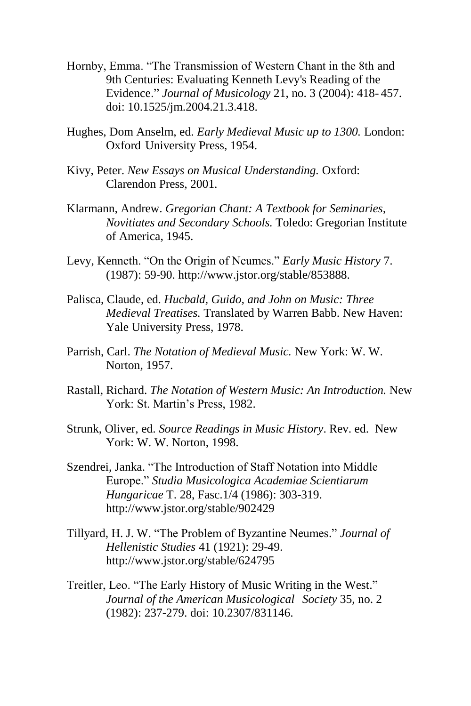- Hornby, Emma. "The Transmission of Western Chant in the 8th and 9th Centuries: Evaluating Kenneth Levy's Reading of the Evidence." *Journal of Musicology* 21, no. 3 (2004): 418- 457. doi: 10.1525/jm.2004.21.3.418.
- Hughes, Dom Anselm, ed. *Early Medieval Music up to 1300.* London: Oxford University Press, 1954.
- Kivy, Peter. *New Essays on Musical Understanding.* Oxford: Clarendon Press, 2001.
- Klarmann, Andrew. *Gregorian Chant: A Textbook for Seminaries, Novitiates and Secondary Schools.* Toledo: Gregorian Institute of America, 1945.
- Levy, Kenneth. "On the Origin of Neumes." *Early Music History* 7. (1987): 59-90. http://www.jstor.org/stable/853888.
- Palisca, Claude, ed. *Hucbald, Guido, and John on Music: Three Medieval Treatises.* Translated by Warren Babb. New Haven: Yale University Press, 1978.
- Parrish, Carl. *The Notation of Medieval Music.* New York: W. W. Norton, 1957.
- Rastall, Richard. *The Notation of Western Music: An Introduction.* New York: St. Martin's Press, 1982.
- Strunk, Oliver, ed. *Source Readings in Music History*. Rev. ed. New York: W. W. Norton, 1998.
- Szendrei, Janka. "The Introduction of Staff Notation into Middle Europe." *Studia Musicologica Academiae Scientiarum Hungaricae* T. 28, Fasc.1/4 (1986): 303-319. http://www.jstor.org/stable/902429
- Tillyard, H. J. W. "The Problem of Byzantine Neumes." *Journal of Hellenistic Studies* 41 (1921): 29-49. http://www.jstor.org/stable/624795
- Treitler, Leo. "The Early History of Music Writing in the West." *Journal of the American Musicological Society* 35, no. 2 (1982): 237-279. doi: 10.2307/831146.